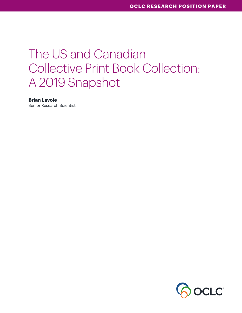# The US and Canadian Collective Print Book Collection: A 2019 Snapshot

#### **Brian Lavoie**

Senior Research Scientist

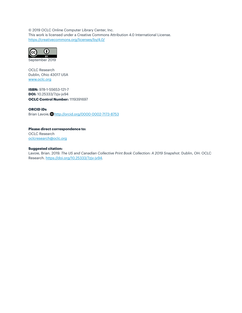© 2019 OCLC Online Computer Library Center, Inc. This work is licensed under a Creative Commons Attribution 4.0 International License. <https://creativecommons.org/licenses/by/4.0/>



September 2019

OCLC Research Dublin, Ohio 43017 USA [www.oclc.org](http://www.oclc.org)

**ISBN:** 978-1-55653-121-7 **DOI:** 10.25333/7zjv-jv94 **OCLC Control Number:** 1119391697

#### **ORCID iDs**

Brian Lavoie, http://orcid.org/0000-0002-7173-8753

**Please direct correspondence to:** OCLC Research [oclcresearch@oclc.org](mailto:oclcresearch@oclc.org)

#### **Suggested citation:**

Lavoie, Brian. 2019. *The US and Canadian Collective Print Book Collection: A 2019 Snapshot*. Dublin, OH: OCLC Research. <https://doi.org/10.25333/7zjv-jv94>.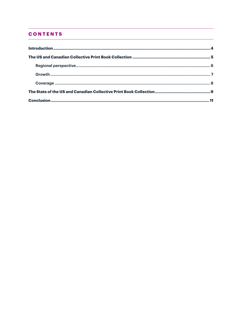### **CONTENTS**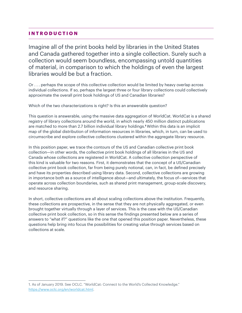### <span id="page-3-0"></span>**INTRODUCTION**

Imagine all of the print books held by libraries in the United States and Canada gathered together into a single collection. Surely such a collection would seem boundless, encompassing untold quantities of material, in comparison to which the holdings of even the largest libraries would be but a fraction.

Or . . . perhaps the scope of this collective collection would be limited by heavy overlap across individual collections. If so, perhaps the largest three or four library collections could collectively approximate the overall print book holdings of US and Canadian libraries?

Which of the two characterizations is right? Is this an answerable question?

This question is answerable, using the massive data aggregation of WorldCat. WorldCat is a shared registry of library collections around the world, in which nearly 450 million distinct publications are matched to more than 2.7 billion individual library holdings.**<sup>1</sup>** Within this data is an implicit map of the global distribution of information resources in libraries, which, in turn, can be used to circumscribe and explore collective collections clustered within the aggregate library resource.

In this position paper, we trace the contours of the US and Canadian collective print book collection—in other words, the collective print book holdings of all libraries in the US and Canada whose collections are registered in WorldCat. A collective collection perspective of this kind is valuable for two reasons. First, it demonstrates that the concept of a US/Canadian collective print book collection, far from being purely notional, can, in fact, be defined precisely and have its properties described using library data. Second, collective collections are growing in importance both as a source of intelligence about—and ultimately, the focus of—services that operate across collection boundaries, such as shared print management, group-scale discovery, and resource sharing.

In short, collective collections are all about scaling collections above the institution. Frequently, these collections are prospective, in the sense that they are not physically aggregated, or even brought together virtually through a layer of services. This is the case with the US/Canadian collective print book collection, so in this sense the findings presented below are a series of answers to "what if?" questions like the one that opened this position paper. Nevertheless, these questions help bring into focus the possibilities for creating value through services based on collections at scale.

<sup>1.</sup> As of January 2019. See OCLC. "WorldCat: Connect to the World's Collected Knowledge." <https://www.oclc.org/en/worldcat.html>.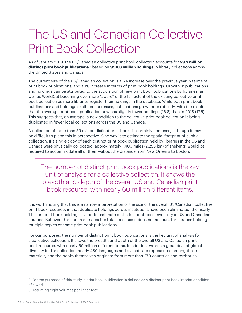# <span id="page-4-0"></span>The US and Canadian Collective Print Book Collection

As of January 2019, the US/Canadian collective print book collection accounts for **59.2 million distinct print book publications**, 2 based on **994.3 million holdings** in library collections across the United States and Canada.

The current size of the US/Canadian collection is a 5% increase over the previous year in terms of print book publications, and a 1% increase in terms of print book holdings. Growth in publications and holdings can be attributed to the acquisition of new print book publications by libraries, as well as WorldCat becoming ever more "aware" of the full extent of the existing collective print book collection as more libraries register their holdings in the database. While both print book publications and holdings exhibited increases, publications grew more robustly, with the result that the average print book publication now has slightly fewer holdings (16.8) than in 2018 (17.6). This suggests that, on average, a new addition to the collective print book collection is being duplicated in fewer local collections across the US and Canada.

A collection of more than 59 million distinct print books is certainly immense, although it may be difficult to place this in perspective. One way is to estimate the spatial footprint of such a collection. If a single copy of each distinct print book publication held by libraries in the US and Canada were physically collocated, approximately 1,400 miles (2,253 km) of shelving<sup>3</sup> would be required to accommodate all of them—about the distance from New Orleans to Boston.

The number of distinct print book publications is the key unit of analysis for a collective collection. It shows the breadth and depth of the overall US and Canadian print book resource, with nearly 60 million different items.

It is worth noting that this is a narrow interpretation of the size of the overall US/Canadian collective print book resource, in that duplicate holdings across institutions have been eliminated; the nearly 1 billion print book holdings is a better estimate of the full print book inventory in US and Canadian libraries. But even this underestimates the total, because it does not account for libraries holding multiple copies of some print book publications.

For our purposes, the number of distinct print book publications is the key unit of analysis for a collective collection. It shows the breadth and depth of the overall US and Canadian print book resource, with nearly 60 million different items. In addition, we see a great deal of global diversity in this collection: nearly 480 languages and dialects are represented among these materials, and the books themselves originate from more than 270 countries and territories.

<sup>2.</sup> For the purposes of this study, a print book publication is defined as a distinct print book imprint or edition of a work.

<sup>3.</sup> Assuming eight volumes per linear foot.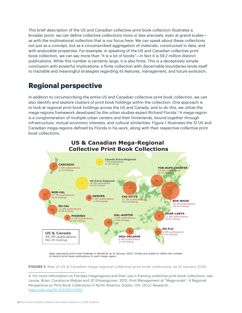<span id="page-5-0"></span>This brief description of the US and Canadian collective print book collection illustrates a broader point: we can define collective collections more or less precisely, even at grand scales as with the multinational collection that is our focus here. We can speak about these collections not just as a concept, but as a circumscribed aggregation of materials, constructed in data, and with analyzable properties. For example, in speaking of the US and Canadian collective print book collection, we can say more than "it is a lot of books"—in fact it is 59.2 million distinct publications. While this number is certainly large, it is also finite. This is a deceptively simple conclusion with powerful implications: a finite collection with discernable boundaries lends itself to tractable and meaningful strategies regarding its features, management, and future evolution.

## **Regional perspective**

In addition to circumscribing the entire US and Canadian collective print book collection, we can also identify and explore clusters of print book holdings within the collection. One approach is to look at regional print book holdings across the US and Canada, and to do this, we utilize the mega-regions framework developed by the urban studies expert Richard Florida.4 A mega-region is a conglomeration of multiple urban centers and their hinterlands, bound together through infrastructure, mutual economic interests, and cultural similarities. Figure 1 illustrates the 12 US and Canadian mega-regions defined by Florida in his work, along with their respective collective print book collections.



Data represents print book holdings in WorldCat as of January 2019. Circles are scaled to reflect the number of distinct print book publications in each mega-region.

**FIGURE 1:** Map of US & Canadian mega-regional collective print book collections, as of January 2019.

<sup>4.</sup> For more information on Florida's megaregions and their use in framing collective print book collections, see Lavoie, Brian, Constance Malpas and JD Shipengrover. 2012. Print Management at "Mega-scale": A Regional Perspective on Print Book Collections in North America. Dublin, OH: OCLC Research. [https://doi.org/10.25333/C3133Z.](https://doi.org/10.25333/C3133Z)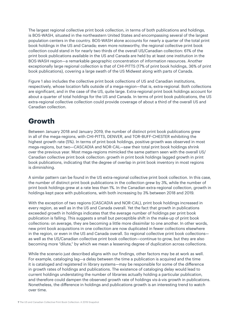<span id="page-6-0"></span>The largest regional collective print book collection, in terms of both publications and holdings, is BOS-WASH, situated in the northeastern United States and encompassing several of the largest population centers in the country. BOS-WASH alone accounts for nearly a quarter of the total print book holdings in the US and Canada; even more noteworthy, the regional collective print book collection could stand in for nearly two thirds of the overall US/Canadian collection: 61% of the print book publications available in the US and Canada are held by at least one institution in the BOS-WASH region—a remarkable geographic concentration of information resources. Another exceptionally large regional collection is that of CHI-PITTS (17% of print book holdings, 36% of print book publications), covering a large swath of the US Midwest along with parts of Canada.

Figure 1 also includes the collective print book collections of US and Canadian institutions, respectively, whose location falls outside of a mega-region—that is, extra-regional. Both collections are significant, and in the case of the US, quite large. Extra-regional print book holdings account for about a quarter of total holdings for the US and Canada. In terms of print book publications, the US extra-regional collective collection could provide coverage of about a third of the overall US and Canadian collection.

## **Growth**

Between January 2018 and January 2019, the number of distinct print book publications grew in all of the mega-regions, with CHI-PITTS, DENVER, and TOR-BUFF-CHESTER exhibiting the highest growth rate (5%). In terms of print book holdings, positive growth was observed in most mega-regions, but two—CASCADIA and NOR-CAL—saw their total print book holdings shrink over the previous year. Most mega-regions mimicked the same pattern seen with the overall US/ Canadian collective print book collection: growth in print book holdings lagged growth in print book publications, indicating that the degree of overlap in print book inventory in most regions is diminishing.

A similar pattern can be found in the US extra-regional collective print book collection. In this case, the number of distinct print book publications in the collection grew by 3%, while the number of print book holdings grew at a rate less than 1%. In the Canadian extra-regional collection, growth in holdings kept pace with publications, with both increasing by 3% between 2018 and 2019.

With the exception of two regions (CASCADIA and NOR-CAL), print book holdings increased in every region, as well as in the US and Canada overall. Yet the fact that growth in publications exceeded growth in holdings indicates that the average number of holdings per print book publication is falling. This suggests a small but perceptible shift in the make-up of print book collections: on average, they are becoming a little more dissimilar to one another. In other words, new print book acquisitions in one collection are now duplicated in fewer collections elsewhere in the region, or even in the US and Canada overall. So regional collective print book collections as well as the US/Canadian collective print book collection—continue to grow, but they are also becoming more "dilute," by which we mean a lessening degree of duplication across collections.

While the scenario just described aligns with our findings, other factors may be at work as well. For example, cataloging lag—a delay between the time a publication is acquired and the time it is cataloged and registered in library systems—may be responsible for some of the difference in growth rates of holdings and publications. The existence of cataloging delay would lead to current holdings understating the number of libraries actually holding a particular publication, and therefore could dampen the observed growth rate of holdings vis-à-vis growth in publications. Nonetheless, the difference in holdings and publications growth is an interesting trend to watch over time.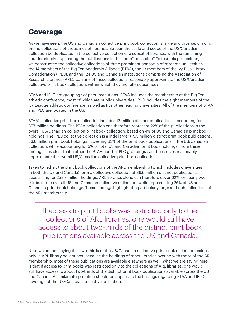## <span id="page-7-0"></span>**Coverage**

As we have seen, the US and Canadian collective print book collection is large and diverse, drawing on the collections of thousands of libraries. But can the scale and scope of the US/Canadian collection be duplicated in the collective collection of a subset of libraries, with the remaining libraries simply duplicating the publications in this "core" collection? To test this proposition, we constructed the collective collections of three prominent consortia of research universities: the 14 members of the Big Ten Academic Alliance (BTAA), the 13 members of the Ivy Plus Library Confederation (IPLC), and the 124 US and Canadian institutions comprising the Association of Research Libraries (ARL). Can any of these collections reasonably approximate the US/Canadian collective print book collection, within which they are fully subsumed?

BTAA and IPLC are groupings of peer institutions: BTAA includes the membership of the Big Ten athletic conference, most of which are public universities. IPLC includes the eight members of the Ivy League athletic conference, as well as five other leading universities. All of the members of BTAA and IPLC are located in the US.

BTAA's collective print book collection includes 13 million distinct publications, accounting for 37.7 million holdings. The BTAA collection can therefore represent 22% of the publications in the overall US/Canadian collection print book collection, based on 4% of US and Canadian print book holdings. The IPLC collective collection is a little larger (19.5 million distinct print book publications, 53.8 million print book holdings), covering 33% of the print book publications in the US/Canadian collection, while accounting for 5% of total US and Canadian print book holdings. From these findings, it is clear that neither the BTAA nor the IPLC groupings can themselves reasonably approximate the overall US/Canadian collective print book collection.

Taken together, the print book collections of the ARL membership (which includes universities in both the US and Canada) form a collective collection of 36.6 million distinct publications, accounting for 258.7 million holdings. ARL libraries alone can therefore cover 62%, or nearly twothirds, of the overall US and Canadian collective collection, while representing 26% of US and Canadian print book holdings. These findings highlight the particularly large and rich collections of the ARL membership.

If access to print books was restricted only to the collections of ARL libraries, one would still have access to about two-thirds of the distinct print book publications available across the US and Canada.

Note we are not saying that two-thirds of the US/Canadian collective print book collection resides only in ARL library collections; because the holdings of other libraries overlap with those of the ARL membership, most of these publications are available elsewhere as well. What we are saying here is that if access to print books was restricted only to the collections of ARL libraries, one would still have access to about two-thirds of the distinct print book publications available across the US and Canada. A similar interpretation should be applied to the findings regarding BTAA and IPLC coverage of the US/Canadian collective collection.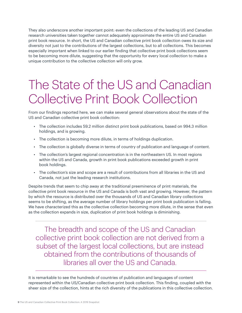<span id="page-8-0"></span>They also underscore another important point: even the collections of the leading US and Canadian research universities taken together cannot adequately approximate the entire US and Canadian print book resource. In short, the US and Canadian collective print book collection owes its size and diversity not just to the contributions of the largest collections, but to all collections. This becomes especially important when linked to our earlier finding that collective print book collections seem to be becoming more dilute, suggesting that the opportunity for every local collection to make a unique contribution to the collective collection will only grow.

# The State of the US and Canadian Collective Print Book Collection

From our findings reported here, we can make several general observations about the state of the US and Canadian collective print book collection:

- The collection includes 59.2 million distinct print book publications, based on 994.3 million holdings, and is growing.
- The collection is becoming more dilute, in terms of holdings duplication.
- The collection is globally diverse in terms of country of publication and language of content.
- The collection's largest regional concentration is in the northeastern US. In most regions within the US and Canada, growth in print book publications exceeded growth in print book holdings.
- The collection's size and scope are a result of contributions from all libraries in the US and Canada, not just the leading research institutions.

Despite trends that seem to chip away at the traditional preeminence of print materials, the collective print book resource in the US and Canada is both vast and growing. However, the pattern by which the resource is distributed over the thousands of US and Canadian library collections seems to be shifting, as the average number of library holdings per print book publication is falling. We have characterized this as the collective collection becoming more dilute, in the sense that even as the collection expands in size, duplication of print book holdings is diminishing.

The breadth and scope of the US and Canadian collective print book collection are not derived from a subset of the largest local collections, but are instead obtained from the contributions of thousands of libraries all over the US and Canada.

It is remarkable to see the hundreds of countries of publication and languages of content represented within the US/Canadian collective print book collection. This finding, coupled with the sheer size of the collection, hints at the rich diversity of the publications in this collective collection.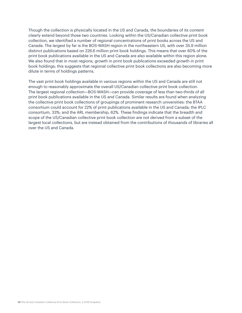Though the collection is physically located in the US and Canada, the boundaries of its content clearly extend beyond those two countries. Looking within the US/Canadian collective print book collection, we identified a number of regional concentrations of print books across the US and Canada. The largest by far is the BOS-WASH region in the northeastern US, with over 35.9 million distinct publications based on 226.6 million print book holdings. This means that over 60% of the print book publications available in the US and Canada are also available within this region alone. We also found that in most regions, growth in print book publications exceeded growth in print book holdings; this suggests that regional collective print book collections are also becoming more dilute in terms of holdings patterns.

The vast print book holdings available in various regions within the US and Canada are still not enough to reasonably approximate the overall US/Canadian collective print book collection. The largest regional collection—BOS-WASH—can provide coverage of less than two-thirds of all print book publications available in the US and Canada. Similar results are found when analyzing the collective print book collections of groupings of prominent research universities: the BTAA consortium could account for 22% of print publications available in the US and Canada; the IPLC consortium, 33%; and the ARL membership, 62%. These findings indicate that the breadth and scope of the US/Canadian collective print book collection are not derived from a subset of the largest local collections, but are instead obtained from the contributions of thousands of libraries all over the US and Canada.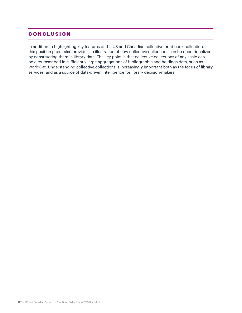### <span id="page-10-0"></span>**CONCLUSION**

In addition to highlighting key features of the US and Canadian collective print book collection, this position paper also provides an illustration of how collective collections can be operationalized by constructing them in library data. The key point is that collective collections of any scale can be circumscribed in sufficiently large aggregations of bibliographic and holdings data, such as WorldCat. Understanding collective collections is increasingly important both as the focus of library services, and as a source of data-driven intelligence for library decision-makers.